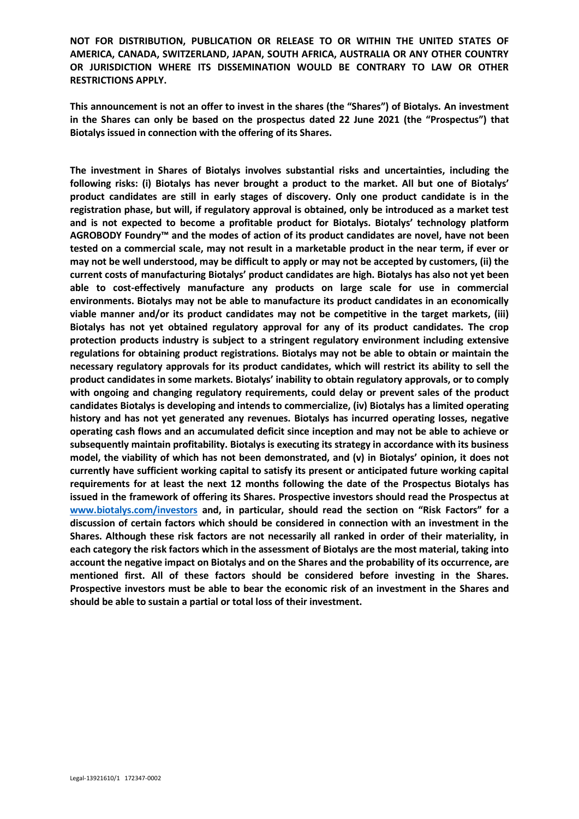**This announcement is not an offer to invest in the shares (the "Shares") of Biotalys. An investment in the Shares can only be based on the prospectus dated 22 June 2021 (the "Prospectus") that Biotalys issued in connection with the offering of its Shares.**

**The investment in Shares of Biotalys involves substantial risks and uncertainties, including the following risks: (i) Biotalys has never brought a product to the market. All but one of Biotalys' product candidates are still in early stages of discovery. Only one product candidate is in the registration phase, but will, if regulatory approval is obtained, only be introduced as a market test and is not expected to become a profitable product for Biotalys. Biotalys' technology platform AGROBODY Foundry™ and the modes of action of its product candidates are novel, have not been tested on a commercial scale, may not result in a marketable product in the near term, if ever or may not be well understood, may be difficult to apply or may not be accepted by customers, (ii) the current costs of manufacturing Biotalys' product candidates are high. Biotalys has also not yet been able to cost-effectively manufacture any products on large scale for use in commercial environments. Biotalys may not be able to manufacture its product candidates in an economically viable manner and/or its product candidates may not be competitive in the target markets, (iii) Biotalys has not yet obtained regulatory approval for any of its product candidates. The crop protection products industry is subject to a stringent regulatory environment including extensive regulations for obtaining product registrations. Biotalys may not be able to obtain or maintain the necessary regulatory approvals for its product candidates, which will restrict its ability to sell the product candidates in some markets. Biotalys' inability to obtain regulatory approvals, or to comply with ongoing and changing regulatory requirements, could delay or prevent sales of the product candidates Biotalys is developing and intends to commercialize, (iv) Biotalys has a limited operating history and has not yet generated any revenues. Biotalys has incurred operating losses, negative operating cash flows and an accumulated deficit since inception and may not be able to achieve or subsequently maintain profitability. Biotalys is executing its strategy in accordance with its business model, the viability of which has not been demonstrated, and (v) in Biotalys' opinion, it does not currently have sufficient working capital to satisfy its present or anticipated future working capital requirements for at least the next 12 months following the date of the Prospectus Biotalys has issued in the framework of offering its Shares. Prospective investors should read the Prospectus at [www.biotalys.com/investors](http://www.biotalys.com/investors) and, in particular, should read the section on "Risk Factors" for a discussion of certain factors which should be considered in connection with an investment in the Shares. Although these risk factors are not necessarily all ranked in order of their materiality, in each category the risk factors which in the assessment of Biotalys are the most material, taking into account the negative impact on Biotalys and on the Shares and the probability of its occurrence, are mentioned first. All of these factors should be considered before investing in the Shares. Prospective investors must be able to bear the economic risk of an investment in the Shares and should be able to sustain a partial or total loss of their investment.**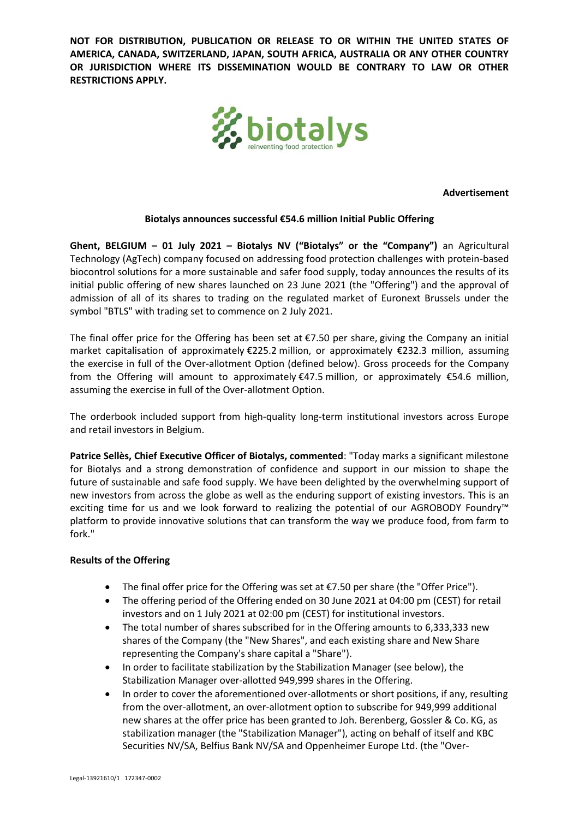

**Advertisement**

### **Biotalys announces successful €54.6 million Initial Public Offering**

**Ghent, BELGIUM – 01 July 2021 – Biotalys NV ("Biotalys" or the "Company")** an Agricultural Technology (AgTech) company focused on addressing food protection challenges with protein-based biocontrol solutions for a more sustainable and safer food supply, today announces the results of its initial public offering of new shares launched on 23 June 2021 (the "Offering") and the approval of admission of all of its shares to trading on the regulated market of Euronext Brussels under the symbol "BTLS" with trading set to commence on 2 July 2021.

The final offer price for the Offering has been set at  $E$ 7.50 per share, giving the Company an initial market capitalisation of approximately €225.2 million, or approximately €232.3 million, assuming the exercise in full of the Over-allotment Option (defined below). Gross proceeds for the Company from the Offering will amount to approximately €47.5 million, or approximately €54.6 million, assuming the exercise in full of the Over-allotment Option.

The orderbook included support from high-quality long-term institutional investors across Europe and retail investors in Belgium.

**Patrice Sellès, Chief Executive Officer of Biotalys, commented**: "Today marks a significant milestone for Biotalys and a strong demonstration of confidence and support in our mission to shape the future of sustainable and safe food supply. We have been delighted by the overwhelming support of new investors from across the globe as well as the enduring support of existing investors. This is an exciting time for us and we look forward to realizing the potential of our AGROBODY Foundry™ platform to provide innovative solutions that can transform the way we produce food, from farm to fork."

## **Results of the Offering**

- The final offer price for the Offering was set at €7.50 per share (the "Offer Price").
- The offering period of the Offering ended on 30 June 2021 at 04:00 pm (CEST) for retail investors and on 1 July 2021 at 02:00 pm (CEST) for institutional investors.
- The total number of shares subscribed for in the Offering amounts to 6,333,333 new shares of the Company (the "New Shares", and each existing share and New Share representing the Company's share capital a "Share").
- In order to facilitate stabilization by the Stabilization Manager (see below), the Stabilization Manager over-allotted 949,999 shares in the Offering.
- In order to cover the aforementioned over-allotments or short positions, if any, resulting from the over-allotment, an over-allotment option to subscribe for 949,999 additional new shares at the offer price has been granted to Joh. Berenberg, Gossler & Co. KG, as stabilization manager (the "Stabilization Manager"), acting on behalf of itself and KBC Securities NV/SA, Belfius Bank NV/SA and Oppenheimer Europe Ltd. (the "Over-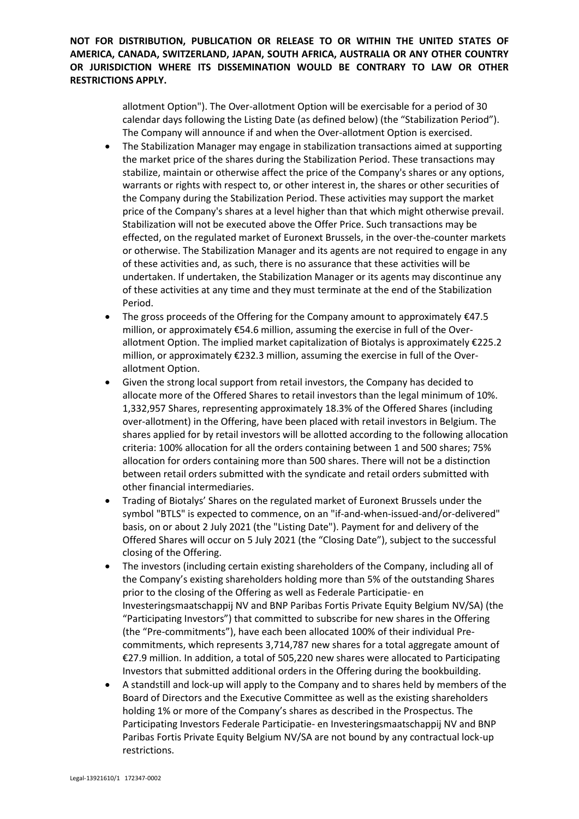> allotment Option"). The Over-allotment Option will be exercisable for a period of 30 calendar days following the Listing Date (as defined below) (the "Stabilization Period"). The Company will announce if and when the Over-allotment Option is exercised.

- The Stabilization Manager may engage in stabilization transactions aimed at supporting the market price of the shares during the Stabilization Period. These transactions may stabilize, maintain or otherwise affect the price of the Company's shares or any options, warrants or rights with respect to, or other interest in, the shares or other securities of the Company during the Stabilization Period. These activities may support the market price of the Company's shares at a level higher than that which might otherwise prevail. Stabilization will not be executed above the Offer Price. Such transactions may be effected, on the regulated market of Euronext Brussels, in the over-the-counter markets or otherwise. The Stabilization Manager and its agents are not required to engage in any of these activities and, as such, there is no assurance that these activities will be undertaken. If undertaken, the Stabilization Manager or its agents may discontinue any of these activities at any time and they must terminate at the end of the Stabilization Period.
- The gross proceeds of the Offering for the Company amount to approximately  $\epsilon$ 47.5 million, or approximately €54.6 million, assuming the exercise in full of the Overallotment Option. The implied market capitalization of Biotalys is approximately  $\epsilon$ 225.2 million, or approximately €232.3 million, assuming the exercise in full of the Overallotment Option.
- Given the strong local support from retail investors, the Company has decided to allocate more of the Offered Shares to retail investors than the legal minimum of 10%. 1,332,957 Shares, representing approximately 18.3% of the Offered Shares (including over-allotment) in the Offering, have been placed with retail investors in Belgium. The shares applied for by retail investors will be allotted according to the following allocation criteria: 100% allocation for all the orders containing between 1 and 500 shares; 75% allocation for orders containing more than 500 shares. There will not be a distinction between retail orders submitted with the syndicate and retail orders submitted with other financial intermediaries.
- Trading of Biotalys' Shares on the regulated market of Euronext Brussels under the symbol "BTLS" is expected to commence, on an "if-and-when-issued-and/or-delivered" basis, on or about 2 July 2021 (the "Listing Date"). Payment for and delivery of the Offered Shares will occur on 5 July 2021 (the "Closing Date"), subject to the successful closing of the Offering.
- The investors (including certain existing shareholders of the Company, including all of the Company's existing shareholders holding more than 5% of the outstanding Shares prior to the closing of the Offering as well as Federale Participatie- en Investeringsmaatschappij NV and BNP Paribas Fortis Private Equity Belgium NV/SA) (the "Participating Investors") that committed to subscribe for new shares in the Offering (the "Pre-commitments"), have each been allocated 100% of their individual Precommitments, which represents 3,714,787 new shares for a total aggregate amount of €27.9 million. In addition, a total of 505,220 new shares were allocated to Participating Investors that submitted additional orders in the Offering during the bookbuilding.
- A standstill and lock-up will apply to the Company and to shares held by members of the Board of Directors and the Executive Committee as well as the existing shareholders holding 1% or more of the Company's shares as described in the Prospectus. The Participating Investors Federale Participatie- en Investeringsmaatschappij NV and BNP Paribas Fortis Private Equity Belgium NV/SA are not bound by any contractual lock-up restrictions.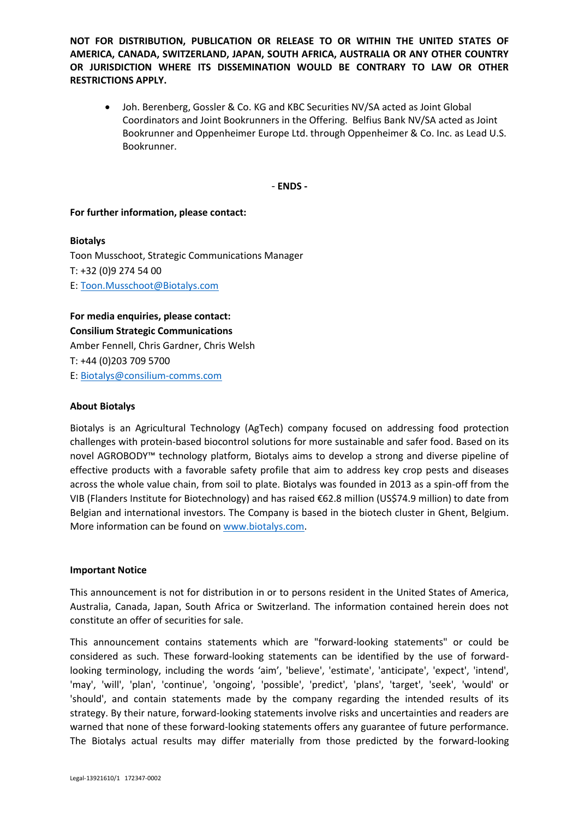• Joh. Berenberg, Gossler & Co. KG and KBC Securities NV/SA acted as Joint Global Coordinators and Joint Bookrunners in the Offering. Belfius Bank NV/SA acted as Joint Bookrunner and Oppenheimer Europe Ltd. through Oppenheimer & Co. Inc. as Lead U.S. Bookrunner.

- **ENDS -**

### **For further information, please contact:**

#### **Biotalys**

Toon Musschoot, Strategic Communications Manager T: +32 (0)9 274 54 00 E: [Toon.Musschoot@Biotalys.com](mailto:Toon.Musschoot@biotalys.com)

**For media enquiries, please contact: Consilium Strategic Communications** Amber Fennell, Chris Gardner, Chris Welsh T: +44 (0)203 709 5700 E: [Biotalys@consilium-comms.com](mailto:Biotalys@consilium-comms.com)

#### **About Biotalys**

Biotalys is an Agricultural Technology (AgTech) company focused on addressing food protection challenges with protein-based biocontrol solutions for more sustainable and safer food. Based on its novel AGROBODY™ technology platform, Biotalys aims to develop a strong and diverse pipeline of effective products with a favorable safety profile that aim to address key crop pests and diseases across the whole value chain, from soil to plate. Biotalys was founded in 2013 as a spin-off from the VIB (Flanders Institute for Biotechnology) and has raised €62.8 million (US\$74.9 million) to date from Belgian and international investors. The Company is based in the biotech cluster in Ghent, Belgium. More information can be found o[n www.biotalys.com.](http://www.biotalys.com/)

#### **Important Notice**

This announcement is not for distribution in or to persons resident in the United States of America, Australia, Canada, Japan, South Africa or Switzerland. The information contained herein does not constitute an offer of securities for sale.

This announcement contains statements which are "forward-looking statements" or could be considered as such. These forward-looking statements can be identified by the use of forwardlooking terminology, including the words 'aim', 'believe', 'estimate', 'anticipate', 'expect', 'intend', 'may', 'will', 'plan', 'continue', 'ongoing', 'possible', 'predict', 'plans', 'target', 'seek', 'would' or 'should', and contain statements made by the company regarding the intended results of its strategy. By their nature, forward-looking statements involve risks and uncertainties and readers are warned that none of these forward-looking statements offers any guarantee of future performance. The Biotalys actual results may differ materially from those predicted by the forward-looking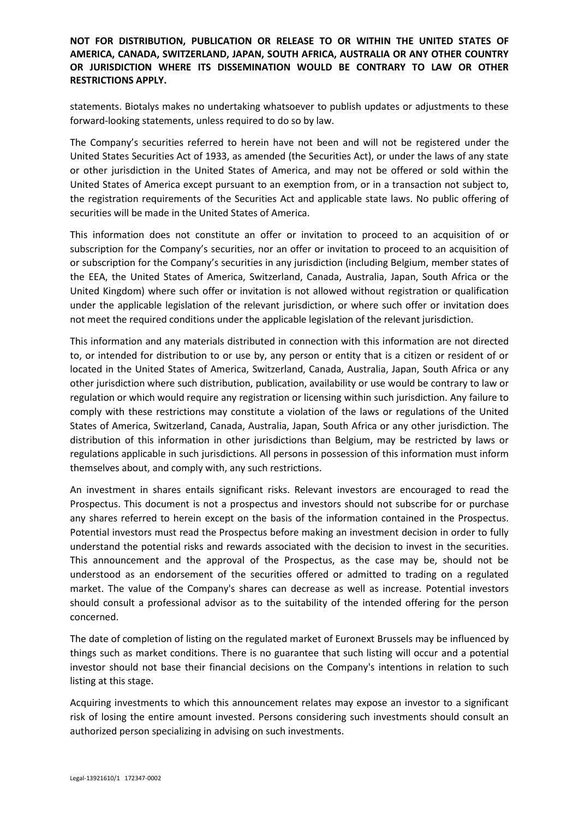statements. Biotalys makes no undertaking whatsoever to publish updates or adjustments to these forward-looking statements, unless required to do so by law.

The Company's securities referred to herein have not been and will not be registered under the United States Securities Act of 1933, as amended (the Securities Act), or under the laws of any state or other jurisdiction in the United States of America, and may not be offered or sold within the United States of America except pursuant to an exemption from, or in a transaction not subject to, the registration requirements of the Securities Act and applicable state laws. No public offering of securities will be made in the United States of America.

This information does not constitute an offer or invitation to proceed to an acquisition of or subscription for the Company's securities, nor an offer or invitation to proceed to an acquisition of or subscription for the Company's securities in any jurisdiction (including Belgium, member states of the EEA, the United States of America, Switzerland, Canada, Australia, Japan, South Africa or the United Kingdom) where such offer or invitation is not allowed without registration or qualification under the applicable legislation of the relevant jurisdiction, or where such offer or invitation does not meet the required conditions under the applicable legislation of the relevant jurisdiction.

This information and any materials distributed in connection with this information are not directed to, or intended for distribution to or use by, any person or entity that is a citizen or resident of or located in the United States of America, Switzerland, Canada, Australia, Japan, South Africa or any other jurisdiction where such distribution, publication, availability or use would be contrary to law or regulation or which would require any registration or licensing within such jurisdiction. Any failure to comply with these restrictions may constitute a violation of the laws or regulations of the United States of America, Switzerland, Canada, Australia, Japan, South Africa or any other jurisdiction. The distribution of this information in other jurisdictions than Belgium, may be restricted by laws or regulations applicable in such jurisdictions. All persons in possession of this information must inform themselves about, and comply with, any such restrictions.

An investment in shares entails significant risks. Relevant investors are encouraged to read the Prospectus. This document is not a prospectus and investors should not subscribe for or purchase any shares referred to herein except on the basis of the information contained in the Prospectus. Potential investors must read the Prospectus before making an investment decision in order to fully understand the potential risks and rewards associated with the decision to invest in the securities. This announcement and the approval of the Prospectus, as the case may be, should not be understood as an endorsement of the securities offered or admitted to trading on a regulated market. The value of the Company's shares can decrease as well as increase. Potential investors should consult a professional advisor as to the suitability of the intended offering for the person concerned.

The date of completion of listing on the regulated market of Euronext Brussels may be influenced by things such as market conditions. There is no guarantee that such listing will occur and a potential investor should not base their financial decisions on the Company's intentions in relation to such listing at this stage.

Acquiring investments to which this announcement relates may expose an investor to a significant risk of losing the entire amount invested. Persons considering such investments should consult an authorized person specializing in advising on such investments.